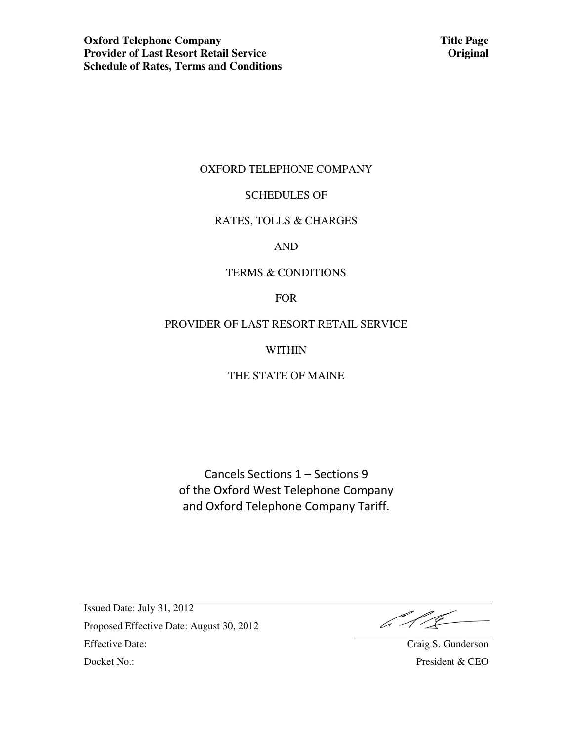**Title Page Original** 

### OXFORD TELEPHONE COMPANY

### SCHEDULES OF

### RATES, TOLLS & CHARGES

AND

### TERMS & CONDITIONS

FOR

## PROVIDER OF LAST RESORT RETAIL SERVICE

WITHIN

## THE STATE OF MAINE

Cancels Sections 1 – Sections 9 of the Oxford West Telephone Company and Oxford Telephone Company Tariff.

 $646-$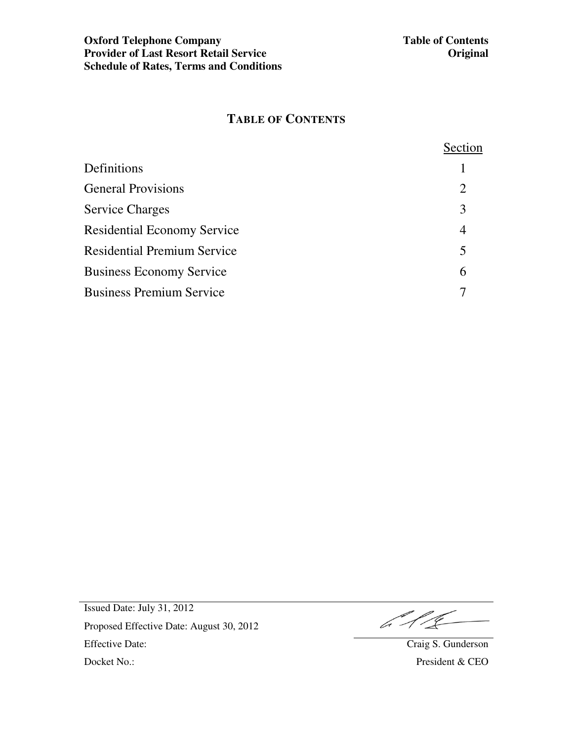# **TABLE OF CONTENTS**

|                                    | Section |
|------------------------------------|---------|
| Definitions                        |         |
| <b>General Provisions</b>          | 2       |
| <b>Service Charges</b>             | 3       |
| <b>Residential Economy Service</b> | 4       |
| <b>Residential Premium Service</b> | 5       |
| <b>Business Economy Service</b>    | 6       |
| <b>Business Premium Service</b>    |         |

 $\mathcal{L}/\mathcal{L}$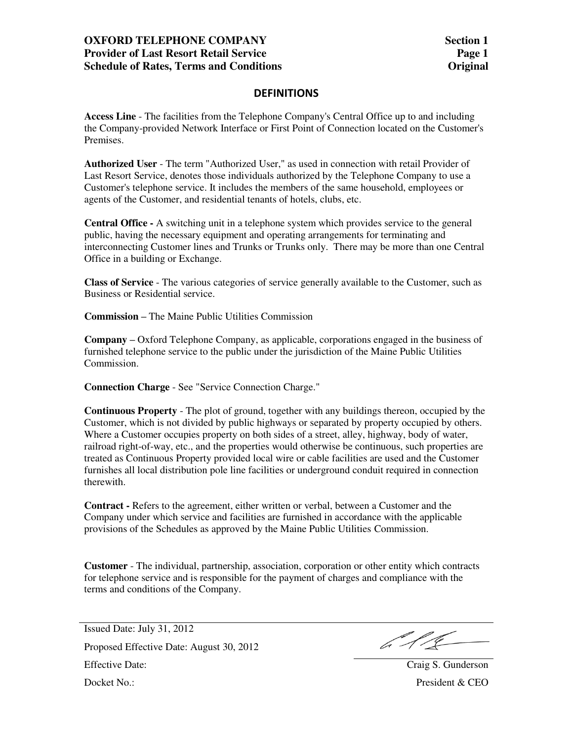## **OXFORD TELEPHONE COMPANY Provider of Last Resort Retail Service Schedule of Rates, Terms and Conditions**

### **DEFINITIONS**

**Access Line** - The facilities from the Telephone Company's Central Office up to and including the Company-provided Network Interface or First Point of Connection located on the Customer's Premises.

**Authorized User** - The term "Authorized User," as used in connection with retail Provider of Last Resort Service, denotes those individuals authorized by the Telephone Company to use a Customer's telephone service. It includes the members of the same household, employees or agents of the Customer, and residential tenants of hotels, clubs, etc.

**Central Office -** A switching unit in a telephone system which provides service to the general public, having the necessary equipment and operating arrangements for terminating and interconnecting Customer lines and Trunks or Trunks only. There may be more than one Central Office in a building or Exchange.

**Class of Service** - The various categories of service generally available to the Customer, such as Business or Residential service.

**Commission –** The Maine Public Utilities Commission

**Company –** Oxford Telephone Company, as applicable, corporations engaged in the business of furnished telephone service to the public under the jurisdiction of the Maine Public Utilities Commission.

**Connection Charge** - See "Service Connection Charge."

**Continuous Property** - The plot of ground, together with any buildings thereon, occupied by the Customer, which is not divided by public highways or separated by property occupied by others. Where a Customer occupies property on both sides of a street, alley, highway, body of water, railroad right-of-way, etc., and the properties would otherwise be continuous, such properties are treated as Continuous Property provided local wire or cable facilities are used and the Customer furnishes all local distribution pole line facilities or underground conduit required in connection therewith.

**Contract -** Refers to the agreement, either written or verbal, between a Customer and the Company under which service and facilities are furnished in accordance with the applicable provisions of the Schedules as approved by the Maine Public Utilities Commission.

**Customer** - The individual, partnership, association, corporation or other entity which contracts for telephone service and is responsible for the payment of charges and compliance with the terms and conditions of the Company.

 $612$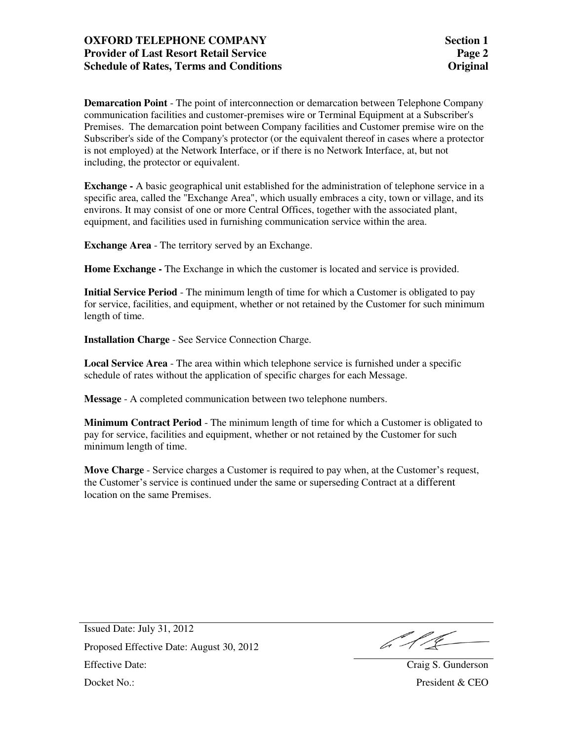## **OXFORD TELEPHONE COMPANY Provider of Last Resort Retail Service Schedule of Rates, Terms and Conditions**

**Demarcation Point** - The point of interconnection or demarcation between Telephone Company communication facilities and customer-premises wire or Terminal Equipment at a Subscriber's Premises. The demarcation point between Company facilities and Customer premise wire on the Subscriber's side of the Company's protector (or the equivalent thereof in cases where a protector is not employed) at the Network Interface, or if there is no Network Interface, at, but not including, the protector or equivalent.

**Exchange -** A basic geographical unit established for the administration of telephone service in a specific area, called the "Exchange Area", which usually embraces a city, town or village, and its environs. It may consist of one or more Central Offices, together with the associated plant, equipment, and facilities used in furnishing communication service within the area.

**Exchange Area** - The territory served by an Exchange.

**Home Exchange -** The Exchange in which the customer is located and service is provided.

**Initial Service Period** - The minimum length of time for which a Customer is obligated to pay for service, facilities, and equipment, whether or not retained by the Customer for such minimum length of time.

**Installation Charge** - See Service Connection Charge.

**Local Service Area** - The area within which telephone service is furnished under a specific schedule of rates without the application of specific charges for each Message.

**Message** - A completed communication between two telephone numbers.

**Minimum Contract Period** - The minimum length of time for which a Customer is obligated to pay for service, facilities and equipment, whether or not retained by the Customer for such minimum length of time.

**Move Charge** - Service charges a Customer is required to pay when, at the Customer's request, the Customer's service is continued under the same or superseding Contract at a different location on the same Premises.

b 11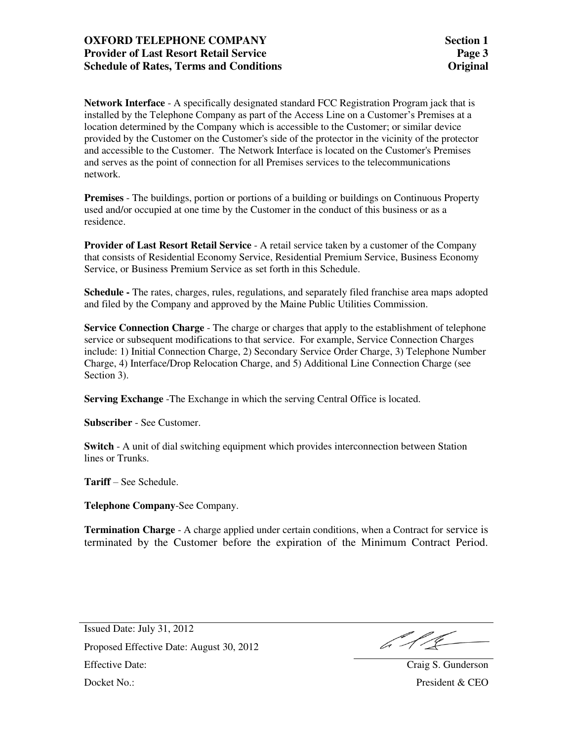## **OXFORD TELEPHONE COMPANY Provider of Last Resort Retail Service Schedule of Rates, Terms and Conditions**

**Network Interface** - A specifically designated standard FCC Registration Program jack that is installed by the Telephone Company as part of the Access Line on a Customer's Premises at a location determined by the Company which is accessible to the Customer; or similar device provided by the Customer on the Customer's side of the protector in the vicinity of the protector and accessible to the Customer. The Network Interface is located on the Customer's Premises and serves as the point of connection for all Premises services to the telecommunications network.

**Premises** - The buildings, portion or portions of a building or buildings on Continuous Property used and/or occupied at one time by the Customer in the conduct of this business or as a residence.

**Provider of Last Resort Retail Service** - A retail service taken by a customer of the Company that consists of Residential Economy Service, Residential Premium Service, Business Economy Service, or Business Premium Service as set forth in this Schedule.

**Schedule -** The rates, charges, rules, regulations, and separately filed franchise area maps adopted and filed by the Company and approved by the Maine Public Utilities Commission.

**Service Connection Charge** - The charge or charges that apply to the establishment of telephone service or subsequent modifications to that service. For example, Service Connection Charges include: 1) Initial Connection Charge, 2) Secondary Service Order Charge, 3) Telephone Number Charge, 4) Interface/Drop Relocation Charge, and 5) Additional Line Connection Charge (see Section 3).

**Serving Exchange** -The Exchange in which the serving Central Office is located.

**Subscriber** - See Customer.

**Switch** - A unit of dial switching equipment which provides interconnection between Station lines or Trunks.

**Tariff** – See Schedule.

**Telephone Company**-See Company.

**Termination Charge** - A charge applied under certain conditions, when a Contract for service is terminated by the Customer before the expiration of the Minimum Contract Period.

b 11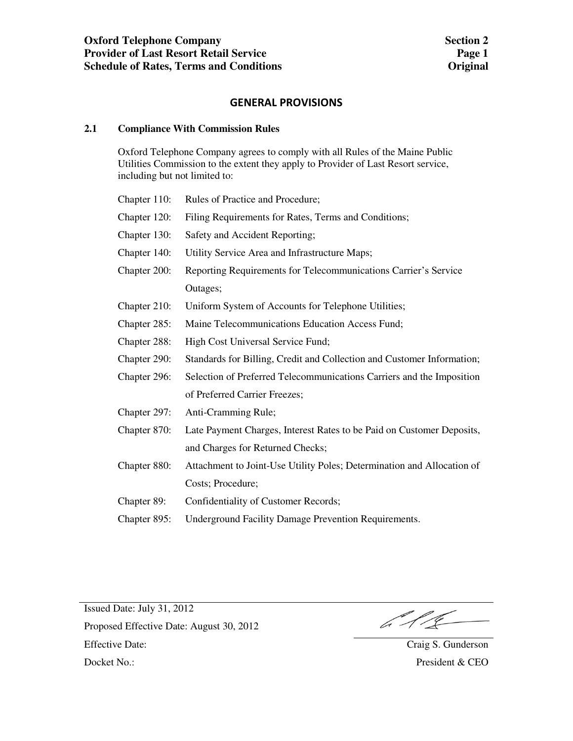### **GENERAL PROVISIONS**

### **2.1 Compliance With Commission Rules**

 Oxford Telephone Company agrees to comply with all Rules of the Maine Public Utilities Commission to the extent they apply to Provider of Last Resort service, including but not limited to:

| Chapter 110: | Rules of Practice and Procedure;                                       |
|--------------|------------------------------------------------------------------------|
| Chapter 120: | Filing Requirements for Rates, Terms and Conditions;                   |
| Chapter 130: | Safety and Accident Reporting;                                         |
| Chapter 140: | Utility Service Area and Infrastructure Maps;                          |
| Chapter 200: | Reporting Requirements for Telecommunications Carrier's Service        |
|              | Outages;                                                               |
| Chapter 210: | Uniform System of Accounts for Telephone Utilities;                    |
| Chapter 285: | Maine Telecommunications Education Access Fund;                        |
| Chapter 288: | High Cost Universal Service Fund;                                      |
| Chapter 290: | Standards for Billing, Credit and Collection and Customer Information; |
| Chapter 296: | Selection of Preferred Telecommunications Carriers and the Imposition  |
|              | of Preferred Carrier Freezes;                                          |
| Chapter 297: | Anti-Cramming Rule;                                                    |
| Chapter 870: | Late Payment Charges, Interest Rates to be Paid on Customer Deposits,  |
|              | and Charges for Returned Checks;                                       |
| Chapter 880: | Attachment to Joint-Use Utility Poles; Determination and Allocation of |
|              | Costs; Procedure;                                                      |
| Chapter 89:  | Confidentiality of Customer Records;                                   |
| Chapter 895: | <b>Underground Facility Damage Prevention Requirements.</b>            |
|              |                                                                        |

 $\mathbb{Z}/\mathbb{Z}$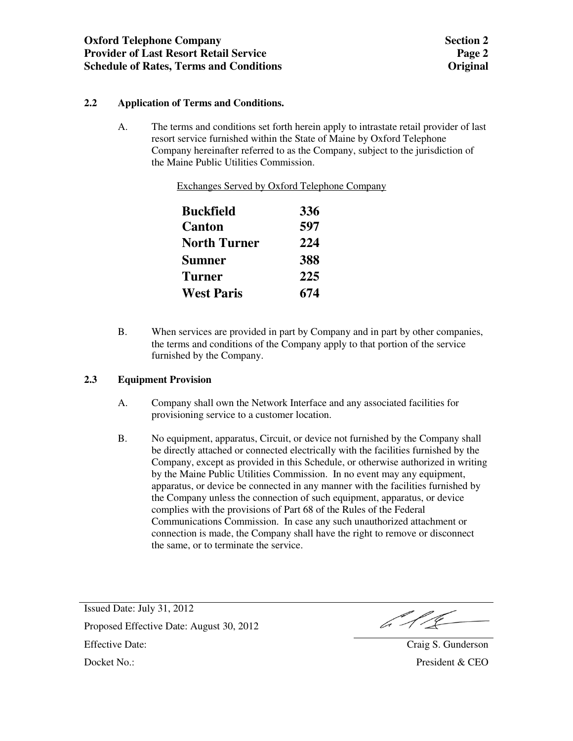## **2.2 Application of Terms and Conditions.**

A. The terms and conditions set forth herein apply to intrastate retail provider of last resort service furnished within the State of Maine by Oxford Telephone Company hereinafter referred to as the Company, subject to the jurisdiction of the Maine Public Utilities Commission.

Exchanges Served by Oxford Telephone Company

| Buckfield         | 336 |
|-------------------|-----|
| Canton            | 597 |
| North Turner      | 224 |
| Sumner            | 388 |
| Turner            | 225 |
| <b>West Paris</b> | 674 |

B. When services are provided in part by Company and in part by other companies, the terms and conditions of the Company apply to that portion of the service furnished by the Company.

### **2.3 Equipment Provision**

- A. Company shall own the Network Interface and any associated facilities for provisioning service to a customer location.
- B. No equipment, apparatus, Circuit, or device not furnished by the Company shall be directly attached or connected electrically with the facilities furnished by the Company, except as provided in this Schedule, or otherwise authorized in writing by the Maine Public Utilities Commission. In no event may any equipment, apparatus, or device be connected in any manner with the facilities furnished by the Company unless the connection of such equipment, apparatus, or device complies with the provisions of Part 68 of the Rules of the Federal Communications Commission. In case any such unauthorized attachment or connection is made, the Company shall have the right to remove or disconnect the same, or to terminate the service.

b 11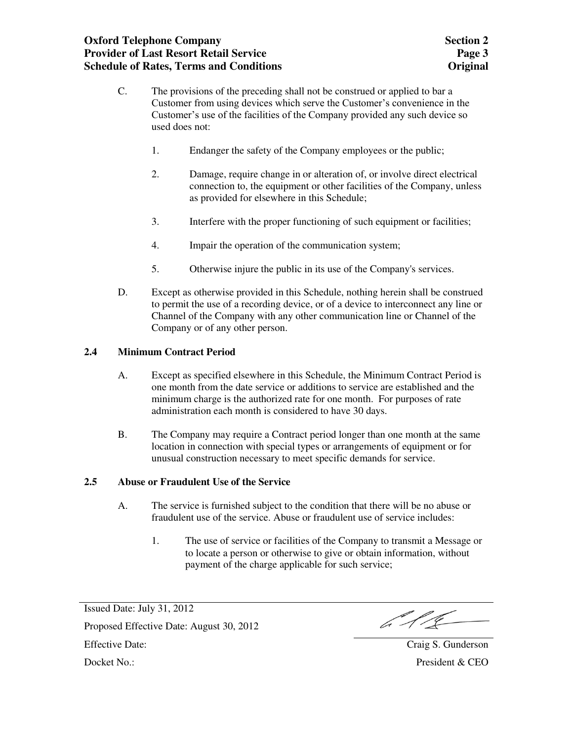- C. The provisions of the preceding shall not be construed or applied to bar a Customer from using devices which serve the Customer's convenience in the Customer's use of the facilities of the Company provided any such device so used does not:
	- 1. Endanger the safety of the Company employees or the public;
	- 2. Damage, require change in or alteration of, or involve direct electrical connection to, the equipment or other facilities of the Company, unless as provided for elsewhere in this Schedule;
	- 3. Interfere with the proper functioning of such equipment or facilities;
	- 4. Impair the operation of the communication system;
	- 5. Otherwise injure the public in its use of the Company's services.
- D. Except as otherwise provided in this Schedule, nothing herein shall be construed to permit the use of a recording device, or of a device to interconnect any line or Channel of the Company with any other communication line or Channel of the Company or of any other person.

### **2.4 Minimum Contract Period**

- A. Except as specified elsewhere in this Schedule, the Minimum Contract Period is one month from the date service or additions to service are established and the minimum charge is the authorized rate for one month. For purposes of rate administration each month is considered to have 30 days.
- B. The Company may require a Contract period longer than one month at the same location in connection with special types or arrangements of equipment or for unusual construction necessary to meet specific demands for service.

### **2.5 Abuse or Fraudulent Use of the Service**

- A. The service is furnished subject to the condition that there will be no abuse or fraudulent use of the service. Abuse or fraudulent use of service includes:
	- 1. The use of service or facilities of the Company to transmit a Message or to locate a person or otherwise to give or obtain information, without payment of the charge applicable for such service;

Issued Date: July 31, 2012 Proposed Effective Date: August 30, 2012

 $\mathbb{Z}/\mathbb{Z}$ 

Effective Date: Craig S. Gunderson Docket No.: President & CEO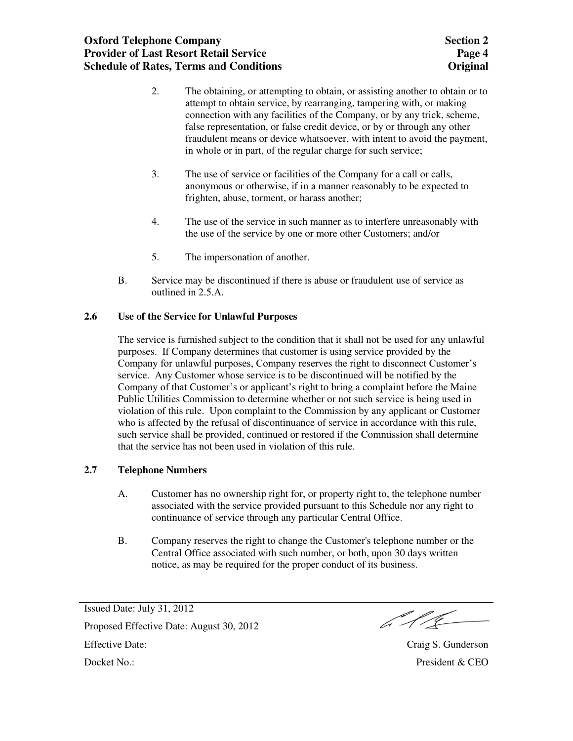- 2. The obtaining, or attempting to obtain, or assisting another to obtain or to attempt to obtain service, by rearranging, tampering with, or making connection with any facilities of the Company, or by any trick, scheme, false representation, or false credit device, or by or through any other fraudulent means or device whatsoever, with intent to avoid the payment, in whole or in part, of the regular charge for such service;
- 3. The use of service or facilities of the Company for a call or calls, anonymous or otherwise, if in a manner reasonably to be expected to frighten, abuse, torment, or harass another;
- 4. The use of the service in such manner as to interfere unreasonably with the use of the service by one or more other Customers; and/or
- 5. The impersonation of another.
- B. Service may be discontinued if there is abuse or fraudulent use of service as outlined in 2.5.A.

## **2.6 Use of the Service for Unlawful Purposes**

The service is furnished subject to the condition that it shall not be used for any unlawful purposes. If Company determines that customer is using service provided by the Company for unlawful purposes, Company reserves the right to disconnect Customer's service. Any Customer whose service is to be discontinued will be notified by the Company of that Customer's or applicant's right to bring a complaint before the Maine Public Utilities Commission to determine whether or not such service is being used in violation of this rule. Upon complaint to the Commission by any applicant or Customer who is affected by the refusal of discontinuance of service in accordance with this rule, such service shall be provided, continued or restored if the Commission shall determine that the service has not been used in violation of this rule.

### **2.7 Telephone Numbers**

- A. Customer has no ownership right for, or property right to, the telephone number associated with the service provided pursuant to this Schedule nor any right to continuance of service through any particular Central Office.
- B. Company reserves the right to change the Customer's telephone number or the Central Office associated with such number, or both, upon 30 days written notice, as may be required for the proper conduct of its business.

Issued Date: July 31, 2012 Proposed Effective Date: August 30, 2012

b 11

Effective Date: Craig S. Gunderson Docket No.: President & CEO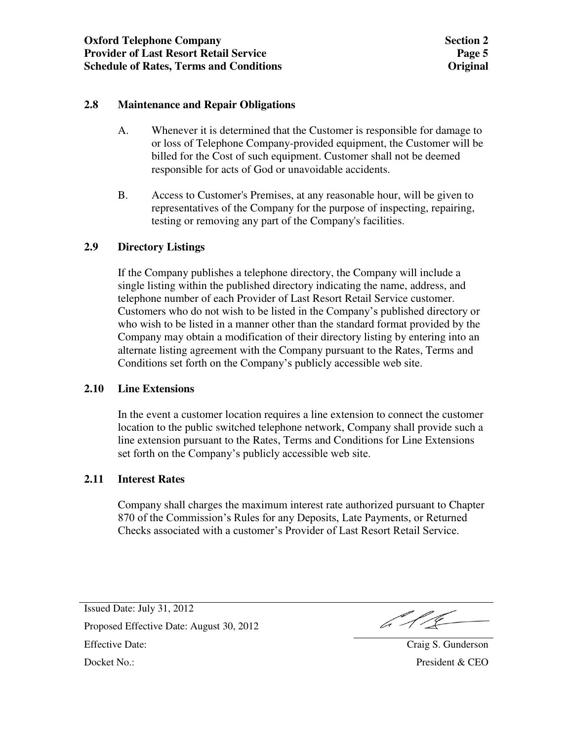## **2.8 Maintenance and Repair Obligations**

- A. Whenever it is determined that the Customer is responsible for damage to or loss of Telephone Company-provided equipment, the Customer will be billed for the Cost of such equipment. Customer shall not be deemed responsible for acts of God or unavoidable accidents.
- B. Access to Customer's Premises, at any reasonable hour, will be given to representatives of the Company for the purpose of inspecting, repairing, testing or removing any part of the Company's facilities.

## **2.9 Directory Listings**

If the Company publishes a telephone directory, the Company will include a single listing within the published directory indicating the name, address, and telephone number of each Provider of Last Resort Retail Service customer. Customers who do not wish to be listed in the Company's published directory or who wish to be listed in a manner other than the standard format provided by the Company may obtain a modification of their directory listing by entering into an alternate listing agreement with the Company pursuant to the Rates, Terms and Conditions set forth on the Company's publicly accessible web site.

## **2.10 Line Extensions**

In the event a customer location requires a line extension to connect the customer location to the public switched telephone network, Company shall provide such a line extension pursuant to the Rates, Terms and Conditions for Line Extensions set forth on the Company's publicly accessible web site.

## **2.11 Interest Rates**

Company shall charges the maximum interest rate authorized pursuant to Chapter 870 of the Commission's Rules for any Deposits, Late Payments, or Returned Checks associated with a customer's Provider of Last Resort Retail Service.

 $646-$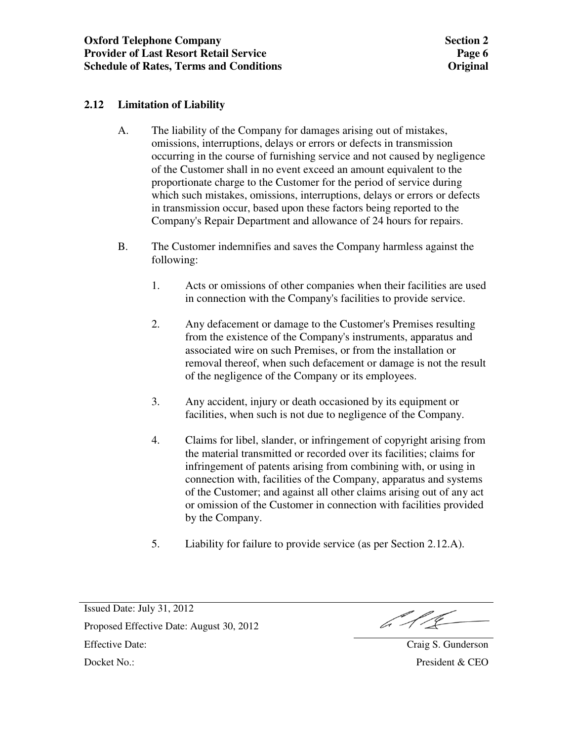## **2.12 Limitation of Liability**

- A. The liability of the Company for damages arising out of mistakes, omissions, interruptions, delays or errors or defects in transmission occurring in the course of furnishing service and not caused by negligence of the Customer shall in no event exceed an amount equivalent to the proportionate charge to the Customer for the period of service during which such mistakes, omissions, interruptions, delays or errors or defects in transmission occur, based upon these factors being reported to the Company's Repair Department and allowance of 24 hours for repairs.
- B. The Customer indemnifies and saves the Company harmless against the following:
	- 1. Acts or omissions of other companies when their facilities are used in connection with the Company's facilities to provide service.
	- 2. Any defacement or damage to the Customer's Premises resulting from the existence of the Company's instruments, apparatus and associated wire on such Premises, or from the installation or removal thereof, when such defacement or damage is not the result of the negligence of the Company or its employees.
	- 3. Any accident, injury or death occasioned by its equipment or facilities, when such is not due to negligence of the Company.
	- 4. Claims for libel, slander, or infringement of copyright arising from the material transmitted or recorded over its facilities; claims for infringement of patents arising from combining with, or using in connection with, facilities of the Company, apparatus and systems of the Customer; and against all other claims arising out of any act or omission of the Customer in connection with facilities provided by the Company.
	- 5. Liability for failure to provide service (as per Section 2.12.A).

b 11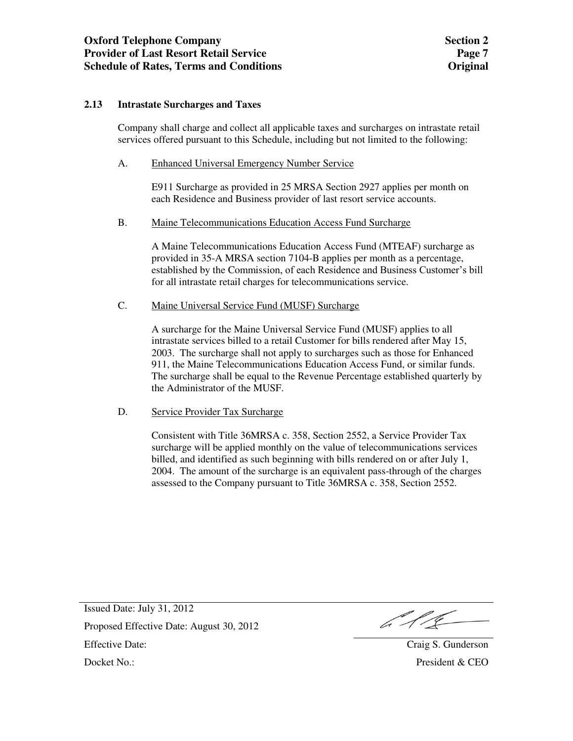#### **2.13 Intrastate Surcharges and Taxes**

Company shall charge and collect all applicable taxes and surcharges on intrastate retail services offered pursuant to this Schedule, including but not limited to the following:

A. Enhanced Universal Emergency Number Service

 E911 Surcharge as provided in 25 MRSA Section 2927 applies per month on each Residence and Business provider of last resort service accounts.

B. Maine Telecommunications Education Access Fund Surcharge

 A Maine Telecommunications Education Access Fund (MTEAF) surcharge as provided in 35-A MRSA section 7104-B applies per month as a percentage, established by the Commission, of each Residence and Business Customer's bill for all intrastate retail charges for telecommunications service.

#### C. Maine Universal Service Fund (MUSF) Surcharge

 A surcharge for the Maine Universal Service Fund (MUSF) applies to all intrastate services billed to a retail Customer for bills rendered after May 15, 2003. The surcharge shall not apply to surcharges such as those for Enhanced 911, the Maine Telecommunications Education Access Fund, or similar funds. The surcharge shall be equal to the Revenue Percentage established quarterly by the Administrator of the MUSF.

#### D. Service Provider Tax Surcharge

 Consistent with Title 36MRSA c. 358, Section 2552, a Service Provider Tax surcharge will be applied monthly on the value of telecommunications services billed, and identified as such beginning with bills rendered on or after July 1, 2004. The amount of the surcharge is an equivalent pass-through of the charges assessed to the Company pursuant to Title 36MRSA c. 358, Section 2552.

b 116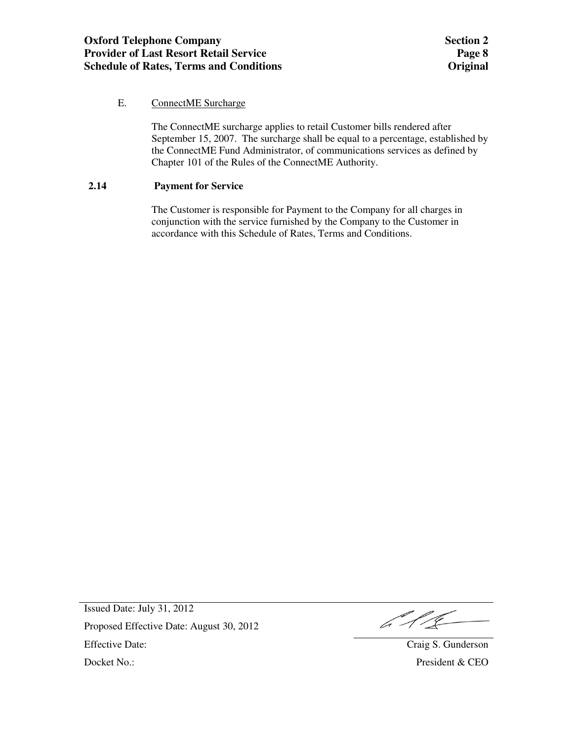## E. ConnectME Surcharge

 The ConnectME surcharge applies to retail Customer bills rendered after September 15, 2007. The surcharge shall be equal to a percentage, established by the ConnectME Fund Administrator, of communications services as defined by Chapter 101 of the Rules of the ConnectME Authority.

### **2.14 Payment for Service**

 The Customer is responsible for Payment to the Company for all charges in conjunction with the service furnished by the Company to the Customer in accordance with this Schedule of Rates, Terms and Conditions.

b 1/2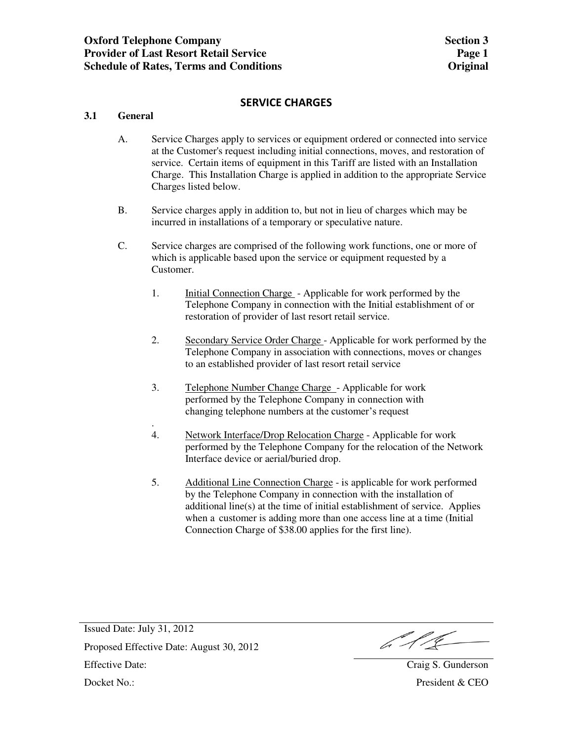## **SERVICE CHARGES**

### **3.1 General**

- A. Service Charges apply to services or equipment ordered or connected into service at the Customer's request including initial connections, moves, and restoration of service. Certain items of equipment in this Tariff are listed with an Installation Charge. This Installation Charge is applied in addition to the appropriate Service Charges listed below.
- B. Service charges apply in addition to, but not in lieu of charges which may be incurred in installations of a temporary or speculative nature.
- C. Service charges are comprised of the following work functions, one or more of which is applicable based upon the service or equipment requested by a Customer.
	- 1. Initial Connection Charge Applicable for work performed by the Telephone Company in connection with the Initial establishment of or restoration of provider of last resort retail service.
	- 2. Secondary Service Order Charge Applicable for work performed by the Telephone Company in association with connections, moves or changes to an established provider of last resort retail service
	- 3. Telephone Number Change Charge Applicable for work performed by the Telephone Company in connection with changing telephone numbers at the customer's request
	- . 4. Network Interface/Drop Relocation Charge - Applicable for work performed by the Telephone Company for the relocation of the Network Interface device or aerial/buried drop.
	- 5. Additional Line Connection Charge is applicable for work performed by the Telephone Company in connection with the installation of additional line(s) at the time of initial establishment of service. Applies when a customer is adding more than one access line at a time (Initial Connection Charge of \$38.00 applies for the first line).

 $6116$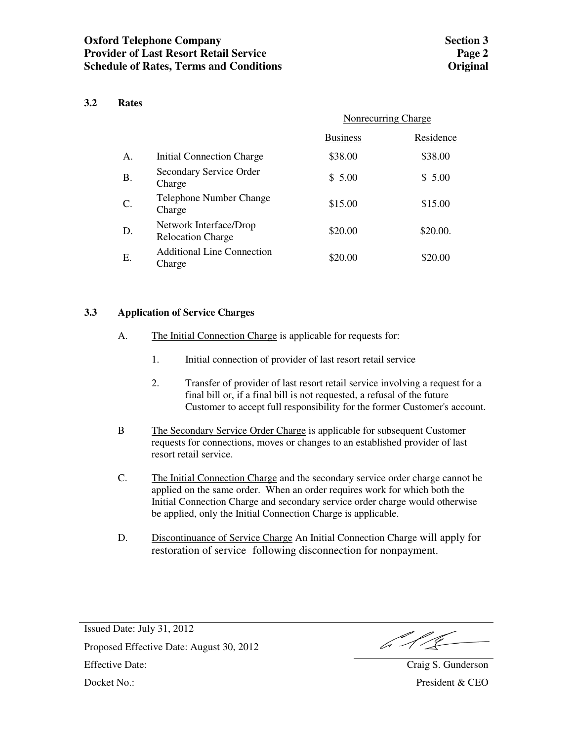### **3.2 Rates**

|           |                                                    | Nonrecurring Charge |           |
|-----------|----------------------------------------------------|---------------------|-----------|
|           |                                                    | <b>Business</b>     | Residence |
| A.        | Initial Connection Charge                          | \$38.00             | \$38.00   |
| <b>B.</b> | Secondary Service Order<br>Charge                  | \$5.00              | \$5.00    |
| C.        | Telephone Number Change<br>Charge                  | \$15.00             | \$15.00   |
| D.        | Network Interface/Drop<br><b>Relocation Charge</b> | \$20.00             | \$20.00.  |
| E.        | <b>Additional Line Connection</b><br>Charge        | \$20.00             | \$20.00   |

#### **3.3 Application of Service Charges**

- A. The Initial Connection Charge is applicable for requests for:
	- 1. Initial connection of provider of last resort retail service
	- 2. Transfer of provider of last resort retail service involving a request for a final bill or, if a final bill is not requested, a refusal of the future Customer to accept full responsibility for the former Customer's account.
- B The Secondary Service Order Charge is applicable for subsequent Customer requests for connections, moves or changes to an established provider of last resort retail service.
- C. The Initial Connection Charge and the secondary service order charge cannot be applied on the same order. When an order requires work for which both the Initial Connection Charge and secondary service order charge would otherwise be applied, only the Initial Connection Charge is applicable.
- D. Discontinuance of Service Charge An Initial Connection Charge will apply for restoration of service following disconnection for nonpayment.

 $612$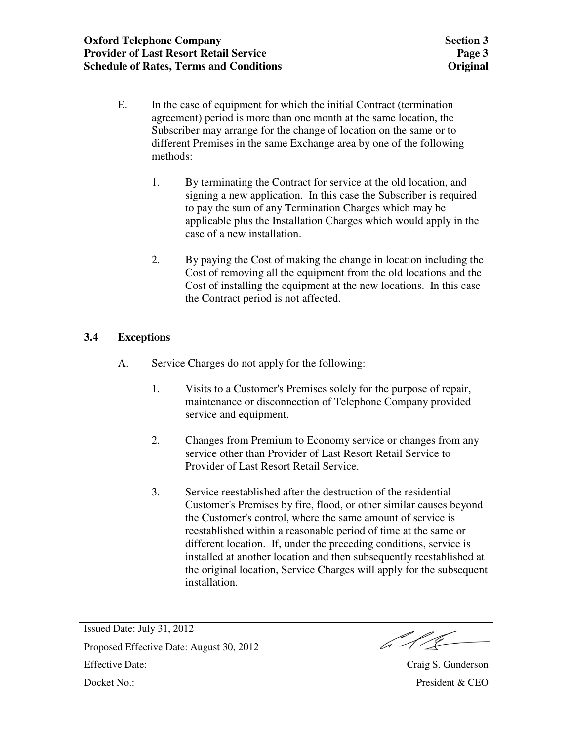- E. In the case of equipment for which the initial Contract (termination agreement) period is more than one month at the same location, the Subscriber may arrange for the change of location on the same or to different Premises in the same Exchange area by one of the following methods:
	- 1. By terminating the Contract for service at the old location, and signing a new application. In this case the Subscriber is required to pay the sum of any Termination Charges which may be applicable plus the Installation Charges which would apply in the case of a new installation.
	- 2. By paying the Cost of making the change in location including the Cost of removing all the equipment from the old locations and the Cost of installing the equipment at the new locations. In this case the Contract period is not affected.

## **3.4 Exceptions**

- A. Service Charges do not apply for the following:
	- 1. Visits to a Customer's Premises solely for the purpose of repair, maintenance or disconnection of Telephone Company provided service and equipment.
	- 2. Changes from Premium to Economy service or changes from any service other than Provider of Last Resort Retail Service to Provider of Last Resort Retail Service.
	- 3. Service reestablished after the destruction of the residential Customer's Premises by fire, flood, or other similar causes beyond the Customer's control, where the same amount of service is reestablished within a reasonable period of time at the same or different location. If, under the preceding conditions, service is installed at another location and then subsequently reestablished at the original location, Service Charges will apply for the subsequent installation.

b 1/2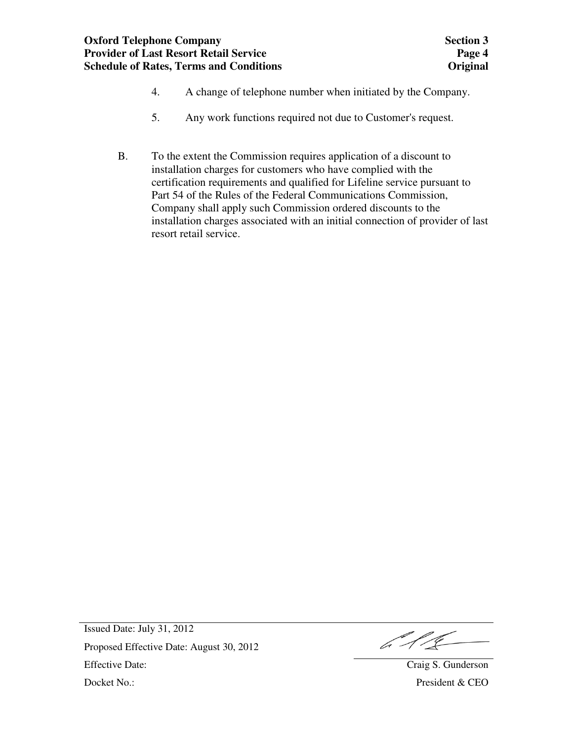- 4. A change of telephone number when initiated by the Company.
- 5. Any work functions required not due to Customer's request.
- B. To the extent the Commission requires application of a discount to installation charges for customers who have complied with the certification requirements and qualified for Lifeline service pursuant to Part 54 of the Rules of the Federal Communications Commission, Company shall apply such Commission ordered discounts to the installation charges associated with an initial connection of provider of last resort retail service.

b 11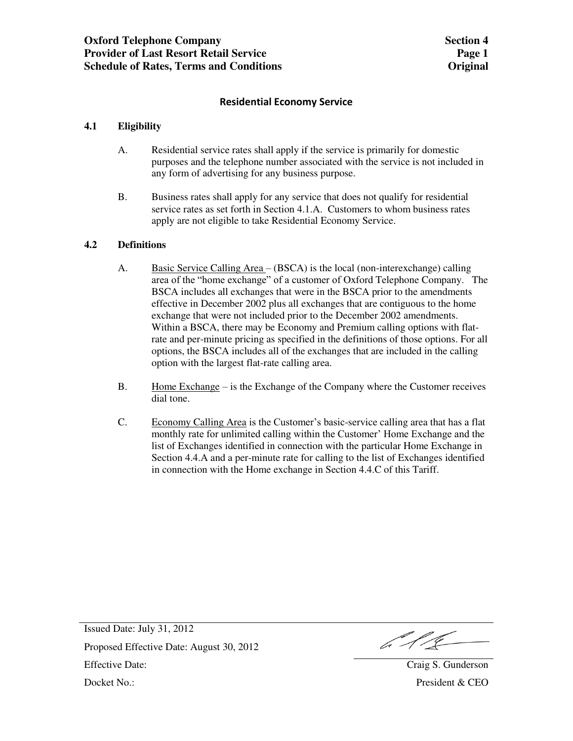### **Residential Economy Service**

### **4.1 Eligibility**

- A. Residential service rates shall apply if the service is primarily for domestic purposes and the telephone number associated with the service is not included in any form of advertising for any business purpose.
- B. Business rates shall apply for any service that does not qualify for residential service rates as set forth in Section 4.1.A. Customers to whom business rates apply are not eligible to take Residential Economy Service.

### **4.2 Definitions**

- A. Basic Service Calling Area (BSCA) is the local (non-interexchange) calling area of the "home exchange" of a customer of Oxford Telephone Company. The BSCA includes all exchanges that were in the BSCA prior to the amendments effective in December 2002 plus all exchanges that are contiguous to the home exchange that were not included prior to the December 2002 amendments. Within a BSCA, there may be Economy and Premium calling options with flatrate and per-minute pricing as specified in the definitions of those options. For all options, the BSCA includes all of the exchanges that are included in the calling option with the largest flat-rate calling area.
- B. Home Exchange is the Exchange of the Company where the Customer receives dial tone.
- C. Economy Calling Area is the Customer's basic-service calling area that has a flat monthly rate for unlimited calling within the Customer' Home Exchange and the list of Exchanges identified in connection with the particular Home Exchange in Section 4.4.A and a per-minute rate for calling to the list of Exchanges identified in connection with the Home exchange in Section 4.4.C of this Tariff.

6118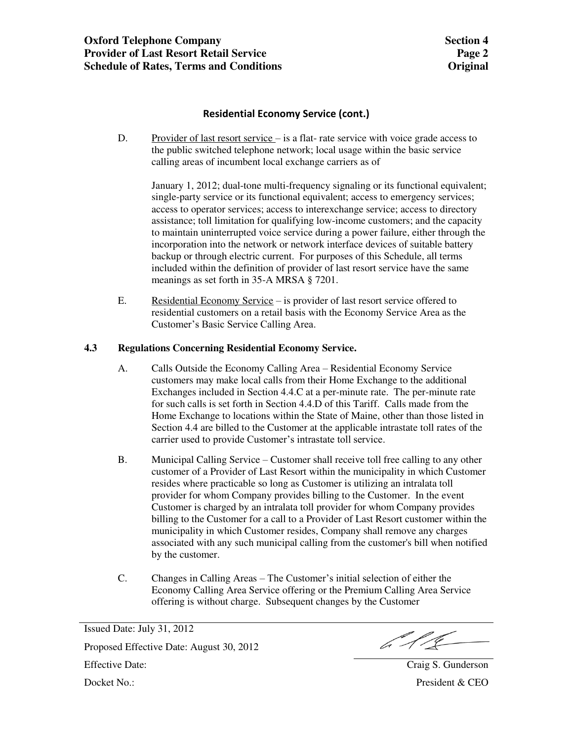## **Residential Economy Service (cont.)**

D. Provider of last resort service – is a flat- rate service with voice grade access to the public switched telephone network; local usage within the basic service calling areas of incumbent local exchange carriers as of

 January 1, 2012; dual-tone multi-frequency signaling or its functional equivalent; single-party service or its functional equivalent; access to emergency services; access to operator services; access to interexchange service; access to directory assistance; toll limitation for qualifying low-income customers; and the capacity to maintain uninterrupted voice service during a power failure, either through the incorporation into the network or network interface devices of suitable battery backup or through electric current. For purposes of this Schedule, all terms included within the definition of provider of last resort service have the same meanings as set forth in 35-A MRSA § 7201.

E. Residential Economy Service – is provider of last resort service offered to residential customers on a retail basis with the Economy Service Area as the Customer's Basic Service Calling Area.

#### **4.3 Regulations Concerning Residential Economy Service.**

- A. Calls Outside the Economy Calling Area Residential Economy Service customers may make local calls from their Home Exchange to the additional Exchanges included in Section 4.4.C at a per-minute rate. The per-minute rate for such calls is set forth in Section 4.4.D of this Tariff. Calls made from the Home Exchange to locations within the State of Maine, other than those listed in Section 4.4 are billed to the Customer at the applicable intrastate toll rates of the carrier used to provide Customer's intrastate toll service.
- B. Municipal Calling Service Customer shall receive toll free calling to any other customer of a Provider of Last Resort within the municipality in which Customer resides where practicable so long as Customer is utilizing an intralata toll provider for whom Company provides billing to the Customer. In the event Customer is charged by an intralata toll provider for whom Company provides billing to the Customer for a call to a Provider of Last Resort customer within the municipality in which Customer resides, Company shall remove any charges associated with any such municipal calling from the customer's bill when notified by the customer.
- C. Changes in Calling Areas The Customer's initial selection of either the Economy Calling Area Service offering or the Premium Calling Area Service offering is without charge. Subsequent changes by the Customer

 $612$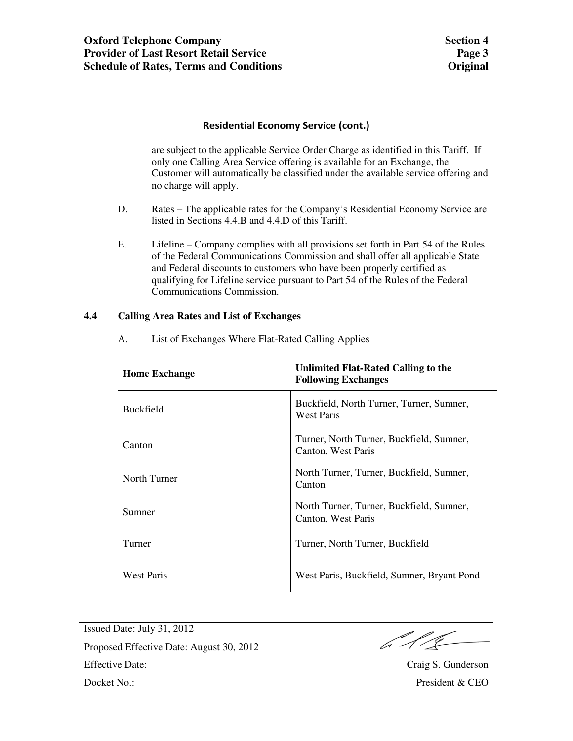## **Residential Economy Service (cont.)**

 are subject to the applicable Service Order Charge as identified in this Tariff. If only one Calling Area Service offering is available for an Exchange, the Customer will automatically be classified under the available service offering and no charge will apply.

- D. Rates The applicable rates for the Company's Residential Economy Service are listed in Sections 4.4.B and 4.4.D of this Tariff.
- E. Lifeline Company complies with all provisions set forth in Part 54 of the Rules of the Federal Communications Commission and shall offer all applicable State and Federal discounts to customers who have been properly certified as qualifying for Lifeline service pursuant to Part 54 of the Rules of the Federal Communications Commission.

#### **4.4 Calling Area Rates and List of Exchanges**

| <b>Home Exchange</b> | Unlimited Flat-Rated Calling to the<br><b>Following Exchanges</b> |
|----------------------|-------------------------------------------------------------------|
| <b>Buckfield</b>     | Buckfield, North Turner, Turner, Sumner,<br><b>West Paris</b>     |
| Canton               | Turner, North Turner, Buckfield, Sumner,<br>Canton, West Paris    |
| North Turner         | North Turner, Turner, Buckfield, Sumner,<br>Canton                |
| Sumner               | North Turner, Turner, Buckfield, Sumner,<br>Canton, West Paris    |
| Turner               | Turner, North Turner, Buckfield                                   |
| <b>West Paris</b>    | West Paris, Buckfield, Sumner, Bryant Pond                        |

A. List of Exchanges Where Flat-Rated Calling Applies

6.11<u>.</u>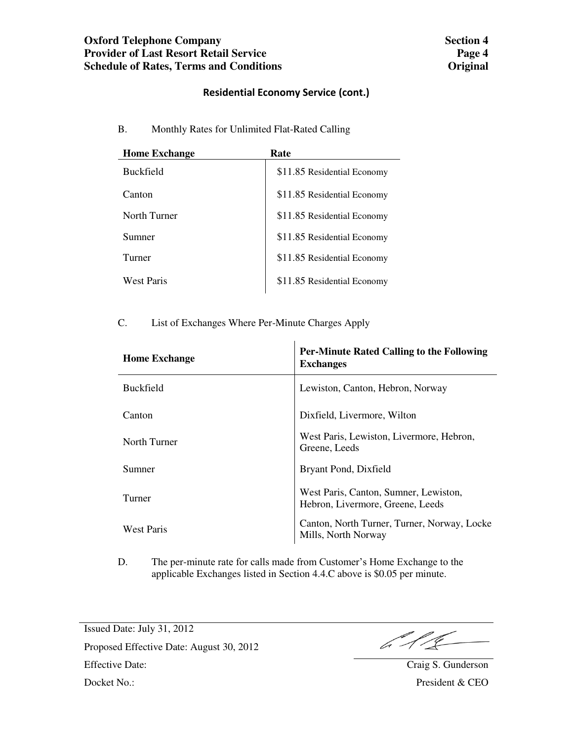## **Residential Economy Service (cont.)**

B. Monthly Rates for Unlimited Flat-Rated Calling

| <b>Home Exchange</b> | Rate                        |
|----------------------|-----------------------------|
| <b>Buckfield</b>     | \$11.85 Residential Economy |
| Canton               | \$11.85 Residential Economy |
| North Turner         | \$11.85 Residential Economy |
| Sumner               | \$11.85 Residential Economy |
| Turner               | \$11.85 Residential Economy |
| West Paris           | \$11.85 Residential Economy |

C. List of Exchanges Where Per-Minute Charges Apply

| <b>Home Exchange</b> | <b>Per-Minute Rated Calling to the Following</b><br><b>Exchanges</b>      |
|----------------------|---------------------------------------------------------------------------|
| <b>Buckfield</b>     | Lewiston, Canton, Hebron, Norway                                          |
| Canton               | Dixfield, Livermore, Wilton                                               |
| North Turner         | West Paris, Lewiston, Livermore, Hebron,<br>Greene, Leeds                 |
| Sumner               | Bryant Pond, Dixfield                                                     |
| Turner               | West Paris, Canton, Sumner, Lewiston,<br>Hebron, Livermore, Greene, Leeds |
| West Paris           | Canton, North Turner, Turner, Norway, Locke<br>Mills, North Norway        |

D. The per-minute rate for calls made from Customer's Home Exchange to the applicable Exchanges listed in Section 4.4.C above is \$0.05 per minute.

 $\frac{1}{4}$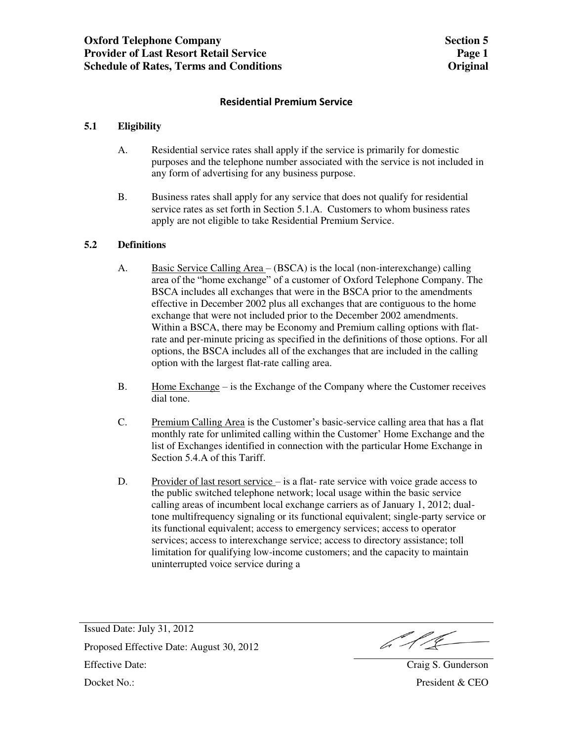### **Residential Premium Service**

### **5.1 Eligibility**

- A. Residential service rates shall apply if the service is primarily for domestic purposes and the telephone number associated with the service is not included in any form of advertising for any business purpose.
- B. Business rates shall apply for any service that does not qualify for residential service rates as set forth in Section 5.1.A. Customers to whom business rates apply are not eligible to take Residential Premium Service.

### **5.2 Definitions**

- A. Basic Service Calling Area (BSCA) is the local (non-interexchange) calling area of the "home exchange" of a customer of Oxford Telephone Company. The BSCA includes all exchanges that were in the BSCA prior to the amendments effective in December 2002 plus all exchanges that are contiguous to the home exchange that were not included prior to the December 2002 amendments. Within a BSCA, there may be Economy and Premium calling options with flatrate and per-minute pricing as specified in the definitions of those options. For all options, the BSCA includes all of the exchanges that are included in the calling option with the largest flat-rate calling area.
- B. Home Exchange is the Exchange of the Company where the Customer receives dial tone.
- C. Premium Calling Area is the Customer's basic-service calling area that has a flat monthly rate for unlimited calling within the Customer' Home Exchange and the list of Exchanges identified in connection with the particular Home Exchange in Section 5.4.A of this Tariff.
- D. Provider of last resort service is a flat- rate service with voice grade access to the public switched telephone network; local usage within the basic service calling areas of incumbent local exchange carriers as of January 1, 2012; dualtone multifrequency signaling or its functional equivalent; single-party service or its functional equivalent; access to emergency services; access to operator services; access to interexchange service; access to directory assistance; toll limitation for qualifying low-income customers; and the capacity to maintain uninterrupted voice service during a

Issued Date: July 31, 2012 Proposed Effective Date: August 30, 2012 Effective Date: August 50, 2012<br>Effective Date: Craig S. Gunderson Docket No.: President & CEO

 $612$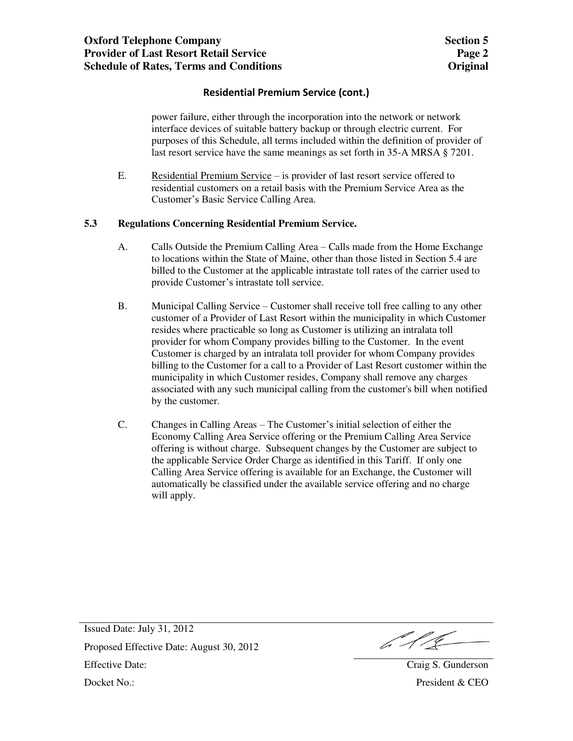## **Residential Premium Service (cont.)**

 power failure, either through the incorporation into the network or network interface devices of suitable battery backup or through electric current. For purposes of this Schedule, all terms included within the definition of provider of last resort service have the same meanings as set forth in 35-A MRSA § 7201.

E. Residential Premium Service – is provider of last resort service offered to residential customers on a retail basis with the Premium Service Area as the Customer's Basic Service Calling Area.

#### **5.3 Regulations Concerning Residential Premium Service.**

- A. Calls Outside the Premium Calling Area Calls made from the Home Exchange to locations within the State of Maine, other than those listed in Section 5.4 are billed to the Customer at the applicable intrastate toll rates of the carrier used to provide Customer's intrastate toll service.
- B. Municipal Calling Service Customer shall receive toll free calling to any other customer of a Provider of Last Resort within the municipality in which Customer resides where practicable so long as Customer is utilizing an intralata toll provider for whom Company provides billing to the Customer. In the event Customer is charged by an intralata toll provider for whom Company provides billing to the Customer for a call to a Provider of Last Resort customer within the municipality in which Customer resides, Company shall remove any charges associated with any such municipal calling from the customer's bill when notified by the customer.
- C. Changes in Calling Areas The Customer's initial selection of either the Economy Calling Area Service offering or the Premium Calling Area Service offering is without charge. Subsequent changes by the Customer are subject to the applicable Service Order Charge as identified in this Tariff. If only one Calling Area Service offering is available for an Exchange, the Customer will automatically be classified under the available service offering and no charge will apply.

 $612$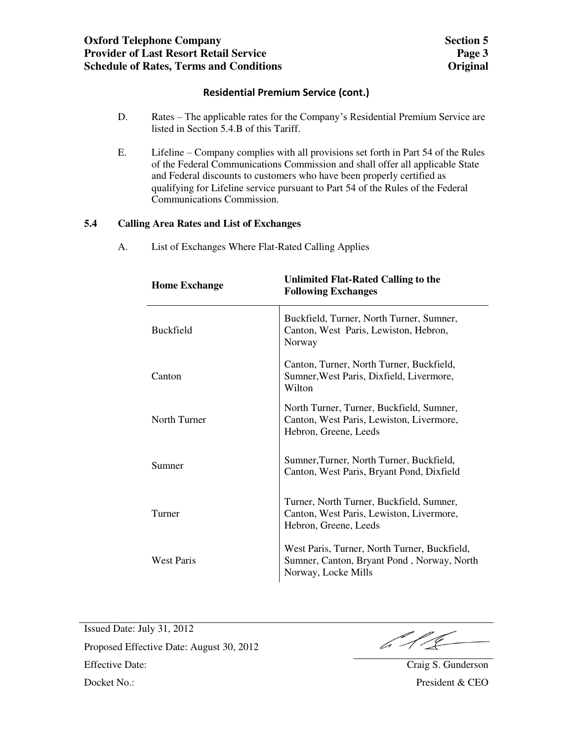## **Residential Premium Service (cont.)**

- D. Rates The applicable rates for the Company's Residential Premium Service are listed in Section 5.4.B of this Tariff.
- E. Lifeline Company complies with all provisions set forth in Part 54 of the Rules of the Federal Communications Commission and shall offer all applicable State and Federal discounts to customers who have been properly certified as qualifying for Lifeline service pursuant to Part 54 of the Rules of the Federal Communications Commission.

### **5.4 Calling Area Rates and List of Exchanges**

A. List of Exchanges Where Flat-Rated Calling Applies

| <b>Home Exchange</b> | <b>Unlimited Flat-Rated Calling to the</b><br><b>Following Exchanges</b>                                          |
|----------------------|-------------------------------------------------------------------------------------------------------------------|
| <b>Buckfield</b>     | Buckfield, Turner, North Turner, Sumner,<br>Canton, West Paris, Lewiston, Hebron,<br>Norway                       |
| Canton               | Canton, Turner, North Turner, Buckfield,<br>Sumner, West Paris, Dixfield, Livermore,<br>Wilton                    |
| North Turner         | North Turner, Turner, Buckfield, Sumner,<br>Canton, West Paris, Lewiston, Livermore,<br>Hebron, Greene, Leeds     |
| Sumner               | Sumner, Turner, North Turner, Buckfield,<br>Canton, West Paris, Bryant Pond, Dixfield                             |
| Turner               | Turner, North Turner, Buckfield, Sumner,<br>Canton, West Paris, Lewiston, Livermore,<br>Hebron, Greene, Leeds     |
| <b>West Paris</b>    | West Paris, Turner, North Turner, Buckfield,<br>Sumner, Canton, Bryant Pond, Norway, North<br>Norway, Locke Mills |

 $611$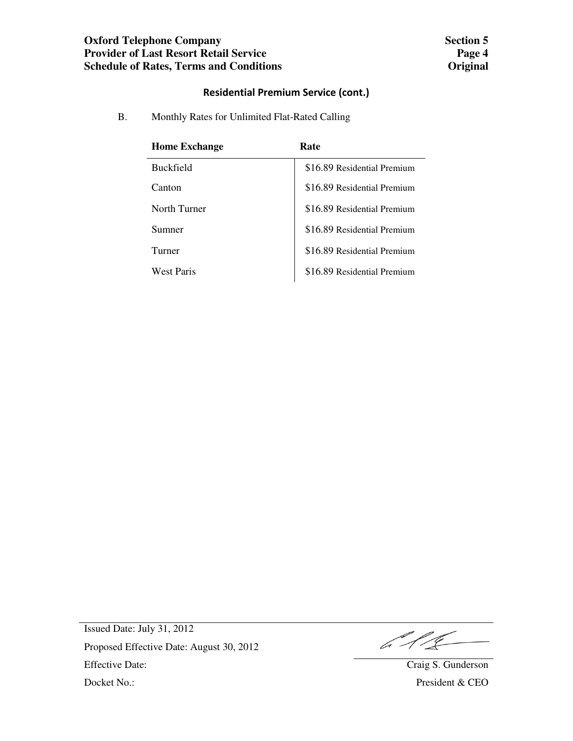## **Residential Premium Service (cont.)**

B. Monthly Rates for Unlimited Flat-Rated Calling

| <b>Home Exchange</b> | Rate                        |
|----------------------|-----------------------------|
| <b>Buckfield</b>     | \$16.89 Residential Premium |
| Canton               | \$16.89 Residential Premium |
| North Turner         | \$16.89 Residential Premium |
| Sumner               | \$16.89 Residential Premium |
| Turner               | \$16.89 Residential Premium |
| West Paris           | \$16.89 Residential Premium |

 $611$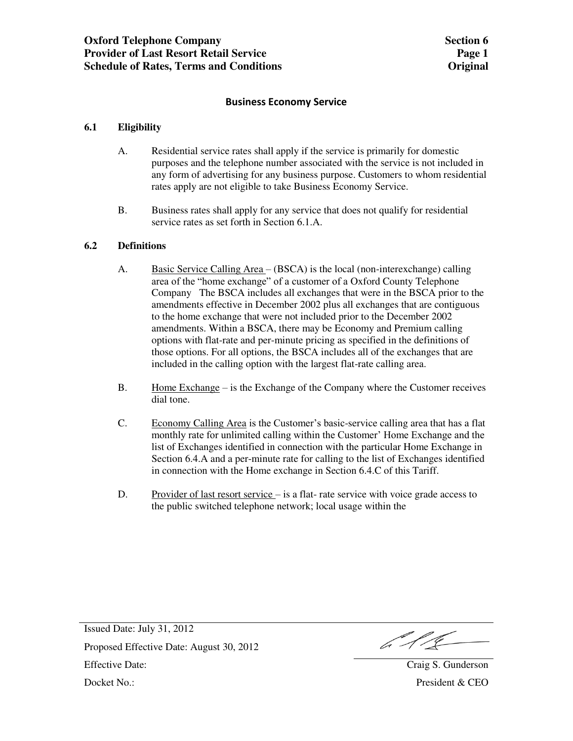### **Business Economy Service**

### **6.1 Eligibility**

- A. Residential service rates shall apply if the service is primarily for domestic purposes and the telephone number associated with the service is not included in any form of advertising for any business purpose. Customers to whom residential rates apply are not eligible to take Business Economy Service.
- B. Business rates shall apply for any service that does not qualify for residential service rates as set forth in Section 6.1.A.

### **6.2 Definitions**

- A. Basic Service Calling Area (BSCA) is the local (non-interexchange) calling area of the "home exchange" of a customer of a Oxford County Telephone Company The BSCA includes all exchanges that were in the BSCA prior to the amendments effective in December 2002 plus all exchanges that are contiguous to the home exchange that were not included prior to the December 2002 amendments. Within a BSCA, there may be Economy and Premium calling options with flat-rate and per-minute pricing as specified in the definitions of those options. For all options, the BSCA includes all of the exchanges that are included in the calling option with the largest flat-rate calling area.
- B. Home Exchange is the Exchange of the Company where the Customer receives dial tone.
- C. Economy Calling Area is the Customer's basic-service calling area that has a flat monthly rate for unlimited calling within the Customer' Home Exchange and the list of Exchanges identified in connection with the particular Home Exchange in Section 6.4.A and a per-minute rate for calling to the list of Exchanges identified in connection with the Home exchange in Section 6.4.C of this Tariff.
- D. Provider of last resort service is a flat- rate service with voice grade access to the public switched telephone network; local usage within the

b 1 L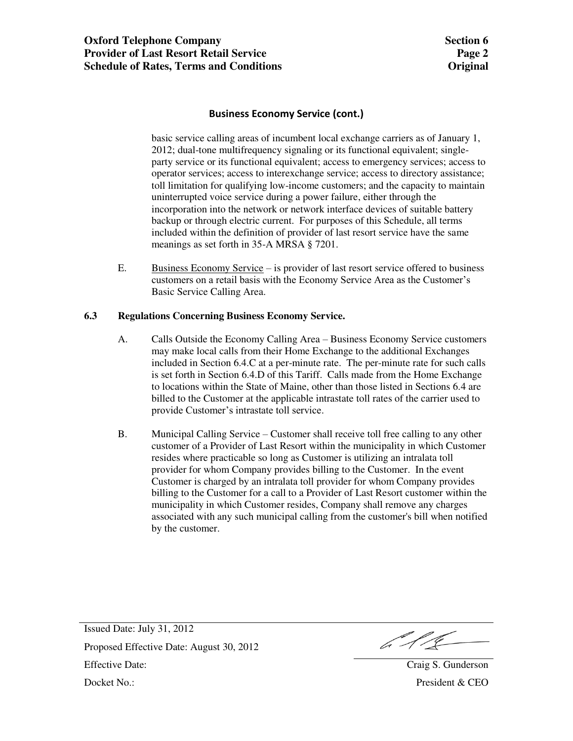## **Business Economy Service (cont.)**

 basic service calling areas of incumbent local exchange carriers as of January 1, 2012; dual-tone multifrequency signaling or its functional equivalent; singleparty service or its functional equivalent; access to emergency services; access to operator services; access to interexchange service; access to directory assistance; toll limitation for qualifying low-income customers; and the capacity to maintain uninterrupted voice service during a power failure, either through the incorporation into the network or network interface devices of suitable battery backup or through electric current. For purposes of this Schedule, all terms included within the definition of provider of last resort service have the same meanings as set forth in 35-A MRSA § 7201.

E. Business Economy Service – is provider of last resort service offered to business customers on a retail basis with the Economy Service Area as the Customer's Basic Service Calling Area.

#### **6.3 Regulations Concerning Business Economy Service.**

- A. Calls Outside the Economy Calling Area Business Economy Service customers may make local calls from their Home Exchange to the additional Exchanges included in Section 6.4.C at a per-minute rate. The per-minute rate for such calls is set forth in Section 6.4.D of this Tariff. Calls made from the Home Exchange to locations within the State of Maine, other than those listed in Sections 6.4 are billed to the Customer at the applicable intrastate toll rates of the carrier used to provide Customer's intrastate toll service.
- B. Municipal Calling Service Customer shall receive toll free calling to any other customer of a Provider of Last Resort within the municipality in which Customer resides where practicable so long as Customer is utilizing an intralata toll provider for whom Company provides billing to the Customer. In the event Customer is charged by an intralata toll provider for whom Company provides billing to the Customer for a call to a Provider of Last Resort customer within the municipality in which Customer resides, Company shall remove any charges associated with any such municipal calling from the customer's bill when notified by the customer.

Issued Date: July 31, 2012 Proposed Effective Date: August 30, 2012 Effective Date: August 50, 2012<br>Effective Date: Craig S. Gunderson Docket No.: President & CEO

 $612$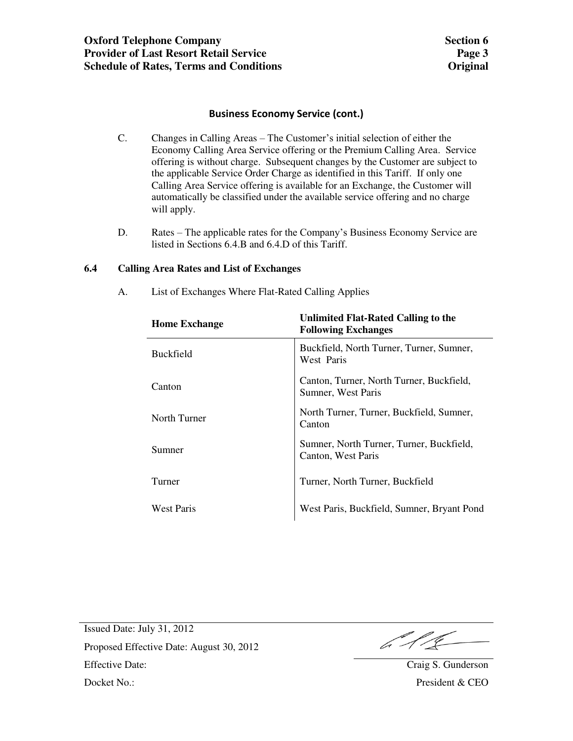## **Business Economy Service (cont.)**

- C. Changes in Calling Areas The Customer's initial selection of either the Economy Calling Area Service offering or the Premium Calling Area. Service offering is without charge. Subsequent changes by the Customer are subject to the applicable Service Order Charge as identified in this Tariff. If only one Calling Area Service offering is available for an Exchange, the Customer will automatically be classified under the available service offering and no charge will apply.
- D. Rates The applicable rates for the Company's Business Economy Service are listed in Sections 6.4.B and 6.4.D of this Tariff.

## **6.4 Calling Area Rates and List of Exchanges**

| <b>Home Exchange</b> | Unlimited Flat-Rated Calling to the<br><b>Following Exchanges</b> |
|----------------------|-------------------------------------------------------------------|
| <b>Buckfield</b>     | Buckfield, North Turner, Turner, Sumner,<br>West Paris            |
| Canton               | Canton, Turner, North Turner, Buckfield,<br>Sumner, West Paris    |
| North Turner         | North Turner, Turner, Buckfield, Sumner,<br>Canton                |
| Sumner               | Sumner, North Turner, Turner, Buckfield,<br>Canton, West Paris    |
| Turner               | Turner, North Turner, Buckfield                                   |
| <b>West Paris</b>    | West Paris, Buckfield, Sumner, Bryant Pond                        |

A. List of Exchanges Where Flat-Rated Calling Applies

6.11<u>.</u>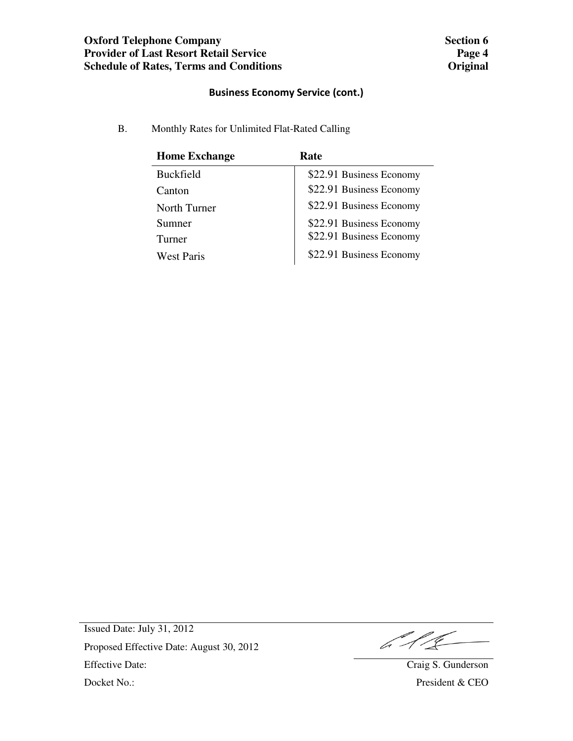## **Business Economy Service (cont.)**

B. Monthly Rates for Unlimited Flat-Rated Calling

| <b>Home Exchange</b> | Rate                     |
|----------------------|--------------------------|
| <b>Buckfield</b>     | \$22.91 Business Economy |
| Canton               | \$22.91 Business Economy |
| North Turner         | \$22.91 Business Economy |
| Sumner               | \$22.91 Business Economy |
| Turner               | \$22.91 Business Economy |
| West Paris           | \$22.91 Business Economy |

 $611$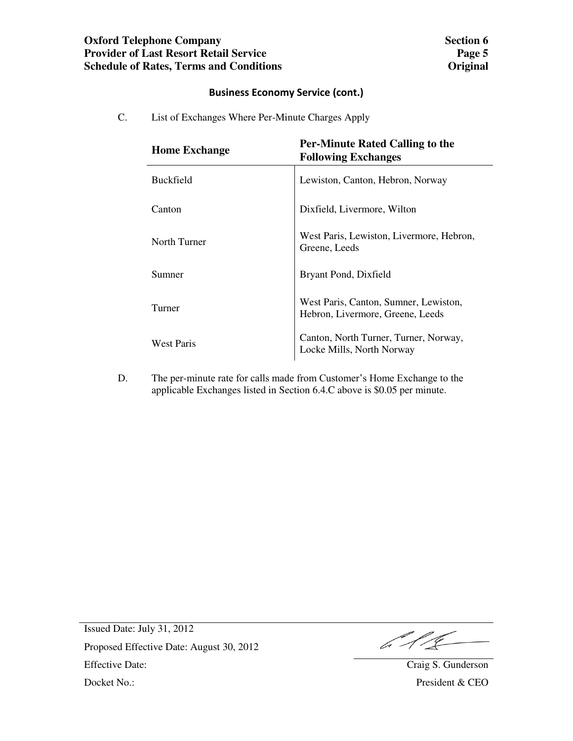## **Business Economy Service (cont.)**

C. List of Exchanges Where Per-Minute Charges Apply

| <b>Home Exchange</b> | <b>Per-Minute Rated Calling to the</b><br><b>Following Exchanges</b>      |
|----------------------|---------------------------------------------------------------------------|
| <b>Buckfield</b>     | Lewiston, Canton, Hebron, Norway                                          |
| Canton               | Dixfield, Livermore, Wilton                                               |
| North Turner         | West Paris, Lewiston, Livermore, Hebron,<br>Greene, Leeds                 |
| Sumner               | Bryant Pond, Dixfield                                                     |
| Turner               | West Paris, Canton, Sumner, Lewiston,<br>Hebron, Livermore, Greene, Leeds |
| <b>West Paris</b>    | Canton, North Turner, Turner, Norway,<br>Locke Mills, North Norway        |

D. The per-minute rate for calls made from Customer's Home Exchange to the applicable Exchanges listed in Section 6.4.C above is \$0.05 per minute.

611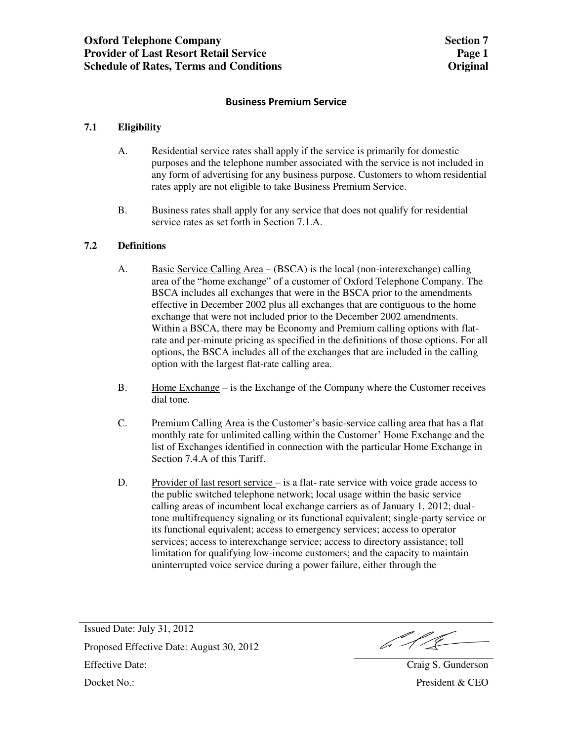### **Business Premium Service**

## **7.1 Eligibility**

- A. Residential service rates shall apply if the service is primarily for domestic purposes and the telephone number associated with the service is not included in any form of advertising for any business purpose. Customers to whom residential rates apply are not eligible to take Business Premium Service.
- B. Business rates shall apply for any service that does not qualify for residential service rates as set forth in Section 7.1.A.

### **7.2 Definitions**

- A. Basic Service Calling Area (BSCA) is the local (non-interexchange) calling area of the "home exchange" of a customer of Oxford Telephone Company. The BSCA includes all exchanges that were in the BSCA prior to the amendments effective in December 2002 plus all exchanges that are contiguous to the home exchange that were not included prior to the December 2002 amendments. Within a BSCA, there may be Economy and Premium calling options with flatrate and per-minute pricing as specified in the definitions of those options. For all options, the BSCA includes all of the exchanges that are included in the calling option with the largest flat-rate calling area.
- B. Home Exchange is the Exchange of the Company where the Customer receives dial tone.
- C. Premium Calling Area is the Customer's basic-service calling area that has a flat monthly rate for unlimited calling within the Customer' Home Exchange and the list of Exchanges identified in connection with the particular Home Exchange in Section 7.4.A of this Tariff.
- D. Provider of last resort service is a flat- rate service with voice grade access to the public switched telephone network; local usage within the basic service calling areas of incumbent local exchange carriers as of January 1, 2012; dualtone multifrequency signaling or its functional equivalent; single-party service or its functional equivalent; access to emergency services; access to operator services; access to interexchange service; access to directory assistance; toll limitation for qualifying low-income customers; and the capacity to maintain uninterrupted voice service during a power failure, either through the

b 11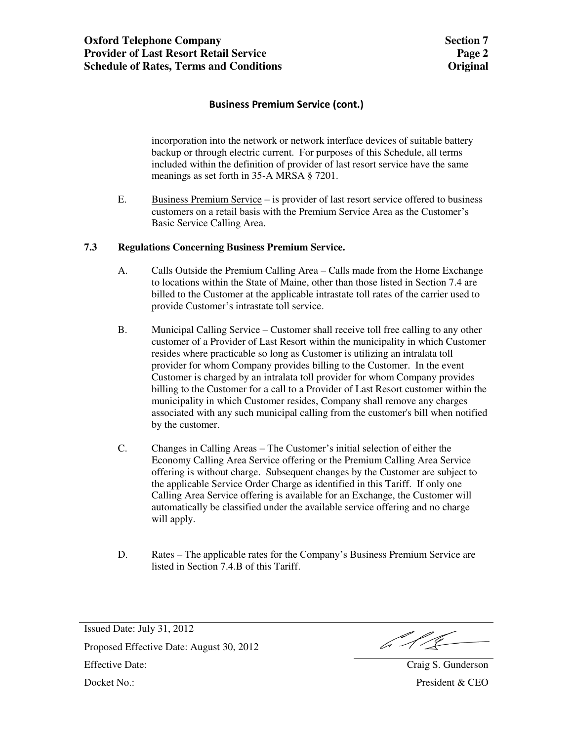## **Business Premium Service (cont.)**

 incorporation into the network or network interface devices of suitable battery backup or through electric current. For purposes of this Schedule, all terms included within the definition of provider of last resort service have the same meanings as set forth in 35-A MRSA § 7201.

E. Business Premium Service – is provider of last resort service offered to business customers on a retail basis with the Premium Service Area as the Customer's Basic Service Calling Area.

### **7.3 Regulations Concerning Business Premium Service.**

- A. Calls Outside the Premium Calling Area Calls made from the Home Exchange to locations within the State of Maine, other than those listed in Section 7.4 are billed to the Customer at the applicable intrastate toll rates of the carrier used to provide Customer's intrastate toll service.
- B. Municipal Calling Service Customer shall receive toll free calling to any other customer of a Provider of Last Resort within the municipality in which Customer resides where practicable so long as Customer is utilizing an intralata toll provider for whom Company provides billing to the Customer. In the event Customer is charged by an intralata toll provider for whom Company provides billing to the Customer for a call to a Provider of Last Resort customer within the municipality in which Customer resides, Company shall remove any charges associated with any such municipal calling from the customer's bill when notified by the customer.
- C. Changes in Calling Areas The Customer's initial selection of either the Economy Calling Area Service offering or the Premium Calling Area Service offering is without charge. Subsequent changes by the Customer are subject to the applicable Service Order Charge as identified in this Tariff. If only one Calling Area Service offering is available for an Exchange, the Customer will automatically be classified under the available service offering and no charge will apply.
- D. Rates The applicable rates for the Company's Business Premium Service are listed in Section 7.4.B of this Tariff.

Issued Date: July 31, 2012 Proposed Effective Date: August 30, 2012 Effective Date: August 50, 2012<br>Effective Date: Craig S. Gunderson Docket No.: President & CEO

 $612$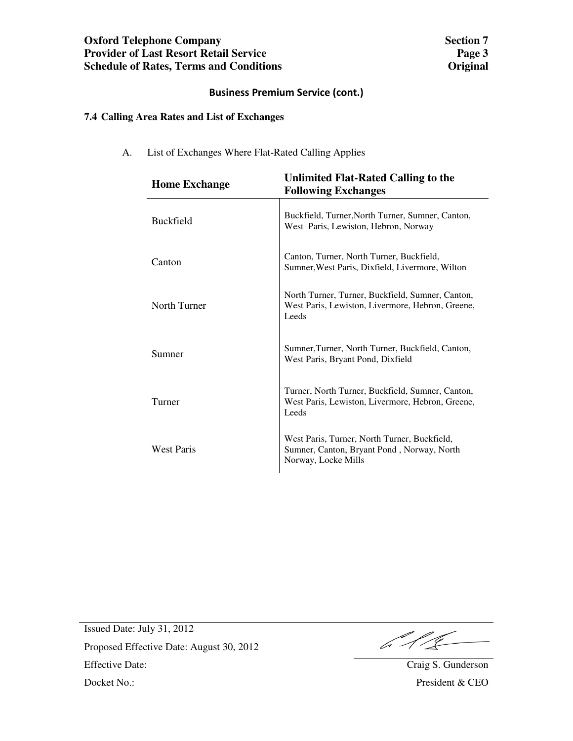## **Business Premium Service (cont.)**

## **7.4 Calling Area Rates and List of Exchanges**

A. List of Exchanges Where Flat-Rated Calling Applies

| <b>Home Exchange</b> | Unlimited Flat-Rated Calling to the<br><b>Following Exchanges</b>                                                 |
|----------------------|-------------------------------------------------------------------------------------------------------------------|
| <b>Buckfield</b>     | Buckfield, Turner, North Turner, Sumner, Canton,<br>West Paris, Lewiston, Hebron, Norway                          |
| Canton               | Canton, Turner, North Turner, Buckfield,<br>Sumner, West Paris, Dixfield, Livermore, Wilton                       |
| North Turner         | North Turner, Turner, Buckfield, Sumner, Canton,<br>West Paris, Lewiston, Livermore, Hebron, Greene,<br>Leeds     |
| Sumner               | Sumner, Turner, North Turner, Buckfield, Canton,<br>West Paris, Bryant Pond, Dixfield                             |
| Turner               | Turner, North Turner, Buckfield, Sumner, Canton,<br>West Paris, Lewiston, Livermore, Hebron, Greene,<br>Leeds     |
| <b>West Paris</b>    | West Paris, Turner, North Turner, Buckfield,<br>Sumner, Canton, Bryant Pond, Norway, North<br>Norway, Locke Mills |

 $612$